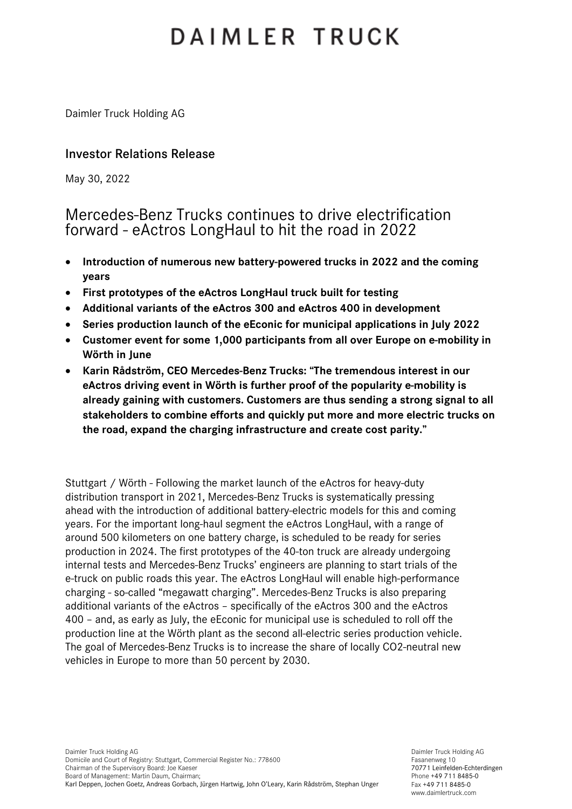# DAIMLER TRUCK

Daimler Truck Holding AG

# Investor Relations Release

May 30, 2022

# Mercedes-Benz Trucks continues to drive electrification forward - eActros LongHaul to hit the road in 2022

- **Introduction of numerous new battery-powered trucks in 2022 and the coming years**
- **First prototypes of the eActros LongHaul truck built for testing**
- **Additional variants of the eActros 300 and eActros 400 in development**
- **Series production launch of the eEconic for municipal applications in July 2022**
- **Customer event for some 1,000 participants from all over Europe on e-mobility in Wörth in June**
- **Karin Rådström, CEO Mercedes-Benz Trucks: "The tremendous interest in our eActros driving event in Wörth is further proof of the popularity e-mobility is already gaining with customers. Customers are thus sending a strong signal to all stakeholders to combine efforts and quickly put more and more electric trucks on the road, expand the charging infrastructure and create cost parity."**

Stuttgart / Wörth - Following the market launch of the eActros for heavy-duty distribution transport in 2021, Mercedes-Benz Trucks is systematically pressing ahead with the introduction of additional battery-electric models for this and coming years. For the important long-haul segment the eActros LongHaul, with a range of around 500 kilometers on one battery charge, is scheduled to be ready for series production in 2024. The first prototypes of the 40-ton truck are already undergoing internal tests and Mercedes-Benz Trucks' engineers are planning to start trials of the e-truck on public roads this year. The eActros LongHaul will enable high-performance charging - so-called "megawatt charging". Mercedes-Benz Trucks is also preparing additional variants of the eActros – specifically of the eActros 300 and the eActros 400 – and, as early as July, the eEconic for municipal use is scheduled to roll off the production line at the Wörth plant as the second all-electric series production vehicle. The goal of Mercedes-Benz Trucks is to increase the share of locally CO2-neutral new vehicles in Europe to more than 50 percent by 2030.

Daimler Truck Holding AG Fasanenweg 10 70771 Leinfelden-Echterdingen Phone +49 711 8485-0 Fax +49 711 8485-0 www.daimlertruck.com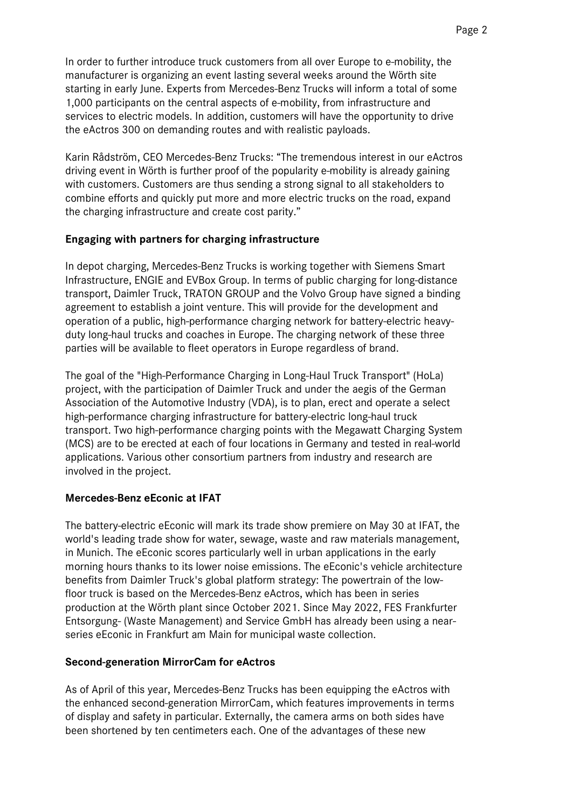In order to further introduce truck customers from all over Europe to e-mobility, the manufacturer is organizing an event lasting several weeks around the Wörth site starting in early June. Experts from Mercedes-Benz Trucks will inform a total of some 1,000 participants on the central aspects of e-mobility, from infrastructure and services to electric models. In addition, customers will have the opportunity to drive the eActros 300 on demanding routes and with realistic payloads.

Karin Rådström, CEO Mercedes-Benz Trucks: "The tremendous interest in our eActros driving event in Wörth is further proof of the popularity e-mobility is already gaining with customers. Customers are thus sending a strong signal to all stakeholders to combine efforts and quickly put more and more electric trucks on the road, expand the charging infrastructure and create cost parity."

#### **Engaging with partners for charging infrastructure**

In depot charging, Mercedes-Benz Trucks is working together with Siemens Smart Infrastructure, ENGIE and EVBox Group. In terms of public charging for long-distance transport, Daimler Truck, TRATON GROUP and the Volvo Group have signed a binding agreement to establish a joint venture. This will provide for the development and operation of a public, high-performance charging network for battery-electric heavyduty long-haul trucks and coaches in Europe. The charging network of these three parties will be available to fleet operators in Europe regardless of brand.

The goal of the "High-Performance Charging in Long-Haul Truck Transport" (HoLa) project, with the participation of Daimler Truck and under the aegis of the German Association of the Automotive Industry (VDA), is to plan, erect and operate a select high-performance charging infrastructure for battery-electric long-haul truck transport. Two high-performance charging points with the Megawatt Charging System (MCS) are to be erected at each of four locations in Germany and tested in real-world applications. Various other consortium partners from industry and research are involved in the project.

### **Mercedes-Benz eEconic at IFAT**

The battery-electric eEconic will mark its trade show premiere on May 30 at IFAT, the world's leading trade show for water, sewage, waste and raw materials management, in Munich. The eEconic scores particularly well in urban applications in the early morning hours thanks to its lower noise emissions. The eEconic's vehicle architecture benefits from Daimler Truck's global platform strategy: The powertrain of the lowfloor truck is based on the Mercedes-Benz eActros, which has been in series production at the Wörth plant since October 2021. Since May 2022, FES Frankfurter Entsorgung- (Waste Management) and Service GmbH has already been using a nearseries eEconic in Frankfurt am Main for municipal waste collection.

#### **Second-generation MirrorCam for eActros**

As of April of this year, Mercedes-Benz Trucks has been equipping the eActros with the enhanced second-generation MirrorCam, which features improvements in terms of display and safety in particular. Externally, the camera arms on both sides have been shortened by ten centimeters each. One of the advantages of these new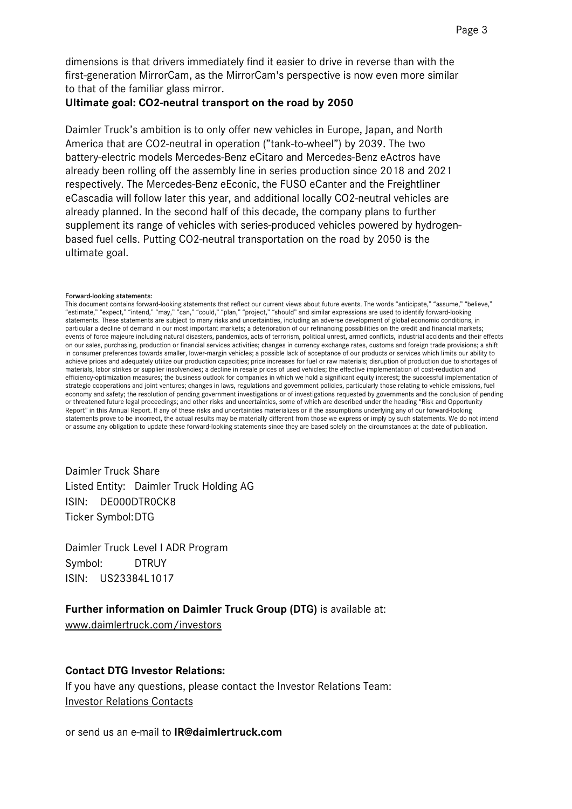dimensions is that drivers immediately find it easier to drive in reverse than with the first-generation MirrorCam, as the MirrorCam's perspective is now even more similar to that of the familiar glass mirror.

#### **Ultimate goal: CO2-neutral transport on the road by 2050**

Daimler Truck's ambition is to only offer new vehicles in Europe, Japan, and North America that are CO2-neutral in operation ("tank-to-wheel") by 2039. The two battery-electric models Mercedes-Benz eCitaro and Mercedes-Benz eActros have already been rolling off the assembly line in series production since 2018 and 2021 respectively. The Mercedes-Benz eEconic, the FUSO eCanter and the Freightliner eCascadia will follow later this year, and additional locally CO2-neutral vehicles are already planned. In the second half of this decade, the company plans to further supplement its range of vehicles with series-produced vehicles powered by hydrogenbased fuel cells. Putting CO2-neutral transportation on the road by 2050 is the ultimate goal.

#### Forward-looking statements:

This document contains forward-looking statements that reflect our current views about future events. The words "anticipate," "assume," "believe," "estimate," "expect," "intend," "may," "can," "could," "plan," "project," "should" and similar expressions are used to identify forward-looking statements. These statements are subject to many risks and uncertainties, including an adverse development of global economic conditions, in particular a decline of demand in our most important markets; a deterioration of our refinancing possibilities on the credit and financial markets; events of force majeure including natural disasters, pandemics, acts of terrorism, political unrest, armed conflicts, industrial accidents and their effects on our sales, purchasing, production or financial services activities; changes in currency exchange rates, customs and foreign trade provisions; a shift in consumer preferences towards smaller, lower-margin vehicles; a possible lack of acceptance of our products or services which limits our ability to achieve prices and adequately utilize our production capacities; price increases for fuel or raw materials; disruption of production due to shortages of materials, labor strikes or supplier insolvencies; a decline in resale prices of used vehicles; the effective implementation of cost-reduction and efficiency-optimization measures; the business outlook for companies in which we hold a significant equity interest; the successful implementation of strategic cooperations and joint ventures; changes in laws, regulations and government policies, particularly those relating to vehicle emissions, fuel economy and safety; the resolution of pending government investigations or of investigations requested by governments and the conclusion of pending or threatened future legal proceedings; and other risks and uncertainties, some of which are described under the heading "Risk and Opportunity Report" in this Annual Report. If any of these risks and uncertainties materializes or if the assumptions underlying any of our forward-looking statements prove to be incorrect, the actual results may be materially different from those we express or imply by such statements. We do not intend or assume any obligation to update these forward-looking statements since they are based solely on the circumstances at the date of publication.

Daimler Truck Share Listed Entity: Daimler Truck Holding AG ISIN: DE000DTR0CK8 Ticker Symbol:DTG

Daimler Truck Level I ADR Program Symbol: DTRUY ISIN: US23384L1017

#### **Further information on Daimler Truck Group (DTG)** is available at:

[www.daimlertruck.com/investors](http://www.daimlertruck.com/investors)

#### **Contact DTG Investor Relations:**

If you have any questions, please contact the Investor Relations Team: [Investor Relations Contacts](https://www.daimlertruck.com/investors/services/contact/)

or send us an e-mail to **[IR@daimlertruck.com](mailto:IR@daimlertruck.com)**